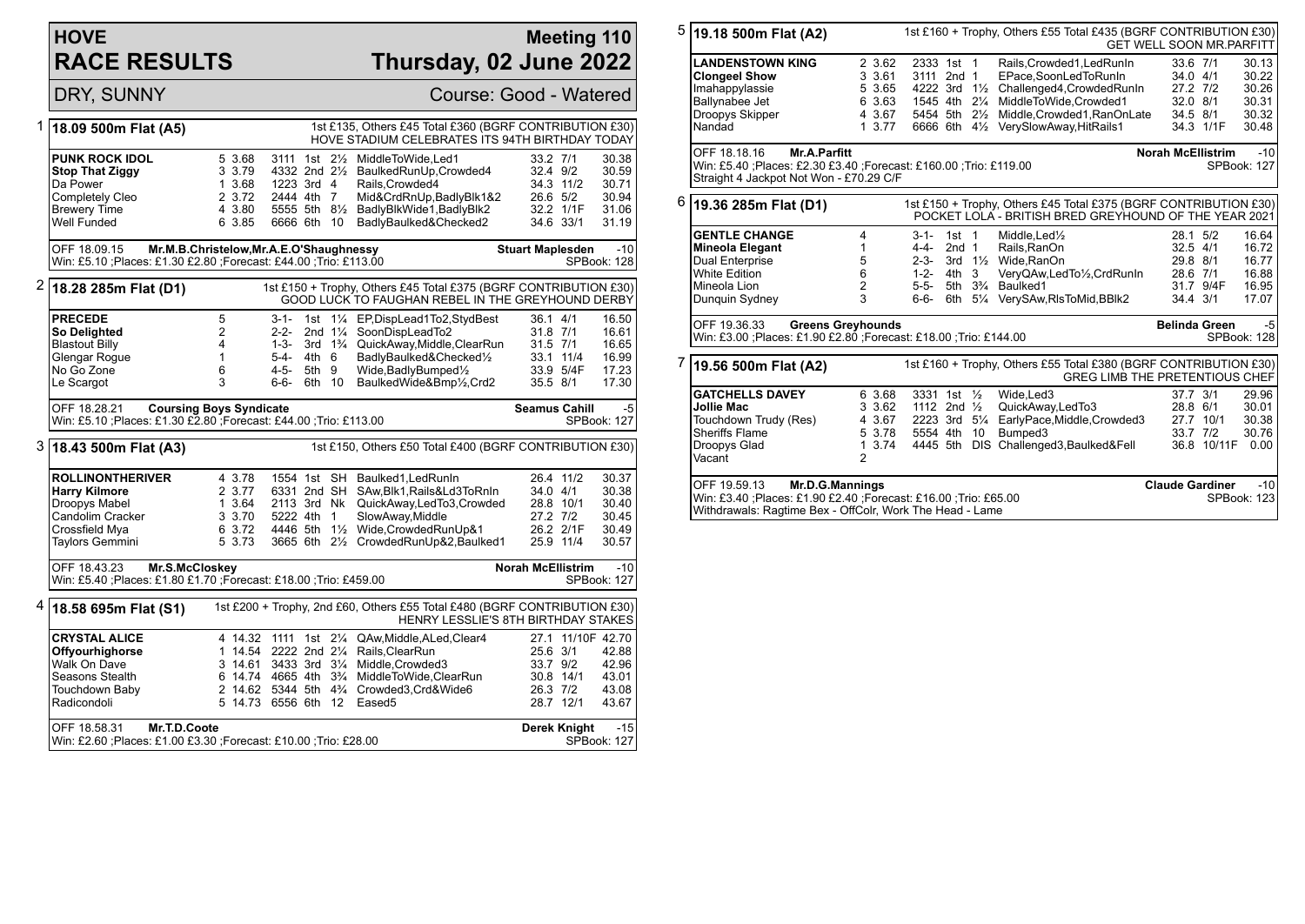## **HOVE RACE RESULTS**

## **Meeting 110 Thursday, 02 June 2022**

DRY, SUNNY Course: Good - Watered

| 1 | 18.09 500m Flat (A5)                                                                                                           |                |                                                |                           |       |      | 1st £135, Others £45 Total £360 (BGRF CONTRIBUTION £30)<br>HOVE STADIUM CELEBRATES ITS 94TH BIRTHDAY TODAY            |                         |                   |                      |
|---|--------------------------------------------------------------------------------------------------------------------------------|----------------|------------------------------------------------|---------------------------|-------|------|-----------------------------------------------------------------------------------------------------------------------|-------------------------|-------------------|----------------------|
|   | <b>PUNK ROCK IDOL</b>                                                                                                          |                | 5 3.68                                         | 3111 1st 21/ <sub>2</sub> |       |      | MiddleToWide,Led1                                                                                                     | 33.2 7/1                |                   | 30.38                |
|   | <b>Stop That Ziggy</b>                                                                                                         |                | 3 3.79                                         |                           |       |      | 4332 2nd 21/ <sub>2</sub> BaulkedRunUp, Crowded4                                                                      | 32.4 9/2                |                   | 30.59                |
|   | Da Power                                                                                                                       |                | 1 3.68                                         | 1223 3rd 4                |       |      | Rails.Crowded4                                                                                                        |                         | 34.3 11/2         | 30.71                |
|   | Completely Cleo                                                                                                                |                | 2 3.72                                         | 2444 4th 7                |       |      | Mid&CrdRnUp,BadlyBlk1&2                                                                                               | 26.6 5/2                |                   | 30.94                |
|   | <b>Brewery Time</b>                                                                                                            |                | 4 3.80                                         | 5555 5th 8½               |       |      | BadlyBlkWide1, BadlyBlk2                                                                                              |                         | 32.2 1/1F         | 31.06                |
|   | Well Funded                                                                                                                    |                | 6 3.85                                         | 6666 6th 10               |       |      | BadlyBaulked&Checked2                                                                                                 |                         | 34.6 33/1         | 31.19                |
|   | Mr.M.B.Christelow, Mr.A.E.O'Shaughnessy<br>OFF 18.09.15                                                                        |                |                                                |                           |       |      |                                                                                                                       | <b>Stuart Maplesden</b> |                   | $-10$                |
|   | Win: £5.10 ; Places: £1.30 £2.80 ; Forecast: £44.00 ; Trio: £113.00                                                            |                |                                                |                           |       |      |                                                                                                                       |                         |                   | SPBook: 128          |
| 2 | 18.28 285m Flat (D1)                                                                                                           |                |                                                |                           |       |      | 1st £150 + Trophy, Others £45 Total £375 (BGRF CONTRIBUTION £30)<br>GOOD LUCK TO FAUGHAN REBEL IN THE GREYHOUND DERBY |                         |                   |                      |
|   | <b>PRECEDE</b>                                                                                                                 | 5              |                                                | $3 - 1 -$                 |       |      | 1st 11/4 EP, DispLead 1 To 2, StydBest                                                                                | 36.1 4/1                |                   | 16.50                |
|   | So Delighted                                                                                                                   | $\overline{2}$ |                                                | $2 - 2 -$                 |       |      | 2nd 11/4 SoonDispLeadTo2                                                                                              | 31.8 7/1                |                   | 16.61                |
|   | <b>Blastout Billy</b>                                                                                                          | 4              |                                                | $1 - 3 -$                 |       |      | 3rd 1 <sup>3</sup> / <sub>4</sub> QuickAway, Middle, ClearRun                                                         | $31.5$ $7/1$            |                   | 16.65                |
|   | Glengar Roque                                                                                                                  | $\mathbf{1}$   |                                                | 5-4-                      | 4th 6 |      | BadlyBaulked&Checked1/2                                                                                               |                         | 33.1 11/4         | 16.99                |
|   | No Go Zone                                                                                                                     | 6              |                                                | 4-5-                      | 5th 9 |      | Wide, Badly Bumped <sup>1/2</sup>                                                                                     |                         | 33.9 5/4F         | 17.23                |
|   | Le Scargot                                                                                                                     | 3              |                                                | 6-6-                      | 6th   | - 10 | BaulkedWide&Bmp1/2,Crd2                                                                                               | 35.5 8/1                |                   | 17.30                |
|   | <b>Coursing Boys Syndicate</b><br>OFF 18.28.21<br>Win: £5.10 ; Places: £1.30 £2.80 ; Forecast: £44.00 ; Trio: £113.00          |                |                                                |                           |       |      |                                                                                                                       | <b>Seamus Cahill</b>    |                   | -5<br>SPBook: 127    |
|   | 3 18.43 500m Flat (A3)                                                                                                         |                |                                                |                           |       |      | 1st £150, Others £50 Total £400 (BGRF CONTRIBUTION £30)                                                               |                         |                   |                      |
|   | <b>ROLLINONTHERIVER</b>                                                                                                        |                | 4 3.78                                         |                           |       |      | 1554 1st SH Baulked1, Led RunIn                                                                                       |                         | 26.4 11/2         | 30.37                |
|   | <b>Harry Kilmore</b>                                                                                                           |                | 2 3.77                                         | 6331 2nd SH               |       |      | SAw, Blk1, Rails&Ld3ToRnIn                                                                                            | 34.0 4/1                |                   | 30.38                |
|   | Droopys Mabel                                                                                                                  |                | 1 3.64                                         | 2113 3rd Nk               |       |      | QuickAway,LedTo3,Crowded                                                                                              |                         | 28.8 10/1         | 30.40                |
|   | Candolim Cracker                                                                                                               |                | 3 3.70                                         | 5222 4th 1                |       |      | SlowAway, Middle                                                                                                      | 27.2 7/2                |                   | 30.45                |
|   | Crossfield Mya                                                                                                                 |                | 6 3.72                                         |                           |       |      | 4446 5th 11/2 Wide, Crowded RunUp&1                                                                                   |                         | 26.2 2/1F         | 30.49                |
|   | Taylors Gemmini                                                                                                                |                | 5 3.73                                         |                           |       |      | 3665 6th 21/2 CrowdedRunUp&2, Baulked1                                                                                |                         | 25.9 11/4         | 30.57                |
|   | <b>Norah McEllistrim</b><br>OFF 18.43.23<br>Mr.S.McCloskey<br>Win: £5.40 ;Places: £1.80 £1.70 ;Forecast: £18.00 ;Trio: £459.00 |                |                                                |                           |       |      |                                                                                                                       |                         |                   | $-10$<br>SPBook: 127 |
| 4 | 18.58 695m Flat (S1)                                                                                                           |                |                                                |                           |       |      | 1st £200 + Trophy, 2nd £60, Others £55 Total £480 (BGRF CONTRIBUTION £30)<br>HENRY LESSLIE'S 8TH BIRTHDAY STAKES      |                         |                   |                      |
|   | <b>CRYSTAL ALICE</b>                                                                                                           |                |                                                |                           |       |      | 4 14.32 1111 1st 21/4 QAw, Middle, ALed, Clear4                                                                       |                         | 27.1 11/10F 42.70 |                      |
|   | Offyourhighorse                                                                                                                |                | 1 14.54 2222 2nd 21/4                          |                           |       |      | Rails, ClearRun                                                                                                       | 25.6 3/1                |                   | 42.88                |
|   | Walk On Dave                                                                                                                   |                | 3 14.61 3433 3rd 31/4                          |                           |       |      | Middle, Crowded3                                                                                                      | 33.7 9/2                |                   | 42.96                |
|   | Seasons Stealth                                                                                                                |                | 6 14.74 4665 4th 3 <sup>3</sup> / <sub>4</sub> |                           |       |      | MiddleToWide,ClearRun                                                                                                 |                         | 30.8 14/1         | 43.01                |
|   | Touchdown Baby                                                                                                                 |                |                                                |                           |       |      | 2 14.62 5344 5th 43/4 Crowded3, Crd& Wide6                                                                            | 26.3 7/2                |                   | 43.08                |
|   | Radicondoli                                                                                                                    |                | 5 14.73 6556 6th                               |                           |       | 12   | Eased <sub>5</sub>                                                                                                    |                         | 28.7 12/1         | 43.67                |
|   | Mr.T.D.Coote                                                                                                                   |                |                                                |                           |       |      |                                                                                                                       | Derek Knight            |                   |                      |

| $5 $ 19.18 500m Flat (A2)                                                                                                                           | 1st £160 + Trophy, Others £55 Total £435 (BGRF CONTRIBUTION £30)<br><b>GET WELL SOON MR.PARFITT</b> |                        |                  |  |                                                                                                                           |                          |             |                      |
|-----------------------------------------------------------------------------------------------------------------------------------------------------|-----------------------------------------------------------------------------------------------------|------------------------|------------------|--|---------------------------------------------------------------------------------------------------------------------------|--------------------------|-------------|----------------------|
| <b>LANDENSTOWN KING</b>                                                                                                                             | 2 3.62                                                                                              | 2333 1st 1             |                  |  | Rails.Crowded1.LedRunIn                                                                                                   | 33.6 7/1                 |             | 30.13                |
| <b>Clongeel Show</b>                                                                                                                                | 3 3.61                                                                                              | 3111 2nd 1             |                  |  | EPace.SoonLedToRunIn                                                                                                      | 34.0 4/1                 |             | 30.22                |
| Imahappylassie                                                                                                                                      | 5 3.65                                                                                              | 4222 3rd 11/2          |                  |  | Challenged4, Crowded RunIn                                                                                                | 27.2 7/2                 |             | 30.26                |
| Ballynabee Jet                                                                                                                                      | 6 3.63                                                                                              | 1545 4th 21/4          |                  |  | MiddleToWide,Crowded1                                                                                                     | 32.0 8/1                 |             | 30.31                |
| Droopys Skipper                                                                                                                                     | 4 3.67                                                                                              | 5454 5th 21/2          |                  |  | Middle, Crowded1, RanOnLate                                                                                               | 34.5 8/1                 |             | 30.32                |
| Nandad                                                                                                                                              | 1, 3.77                                                                                             |                        |                  |  | 6666 6th 41/2 VerySlowAway, HitRails1                                                                                     |                          | 34.3 1/1F   | 30.48                |
| OFF 18.18.16<br><b>Mr.A.Parfitt</b><br>Win: £5.40 ;Places: £2.30 £3.40 ;Forecast: £160.00 ;Trio: £119.00<br>Straight 4 Jackpot Not Won - £70.29 C/F |                                                                                                     |                        |                  |  |                                                                                                                           | <b>Norah McEllistrim</b> |             | $-10$<br>SPBook: 127 |
| 6                                                                                                                                                   |                                                                                                     |                        |                  |  |                                                                                                                           |                          |             |                      |
| 19.36 285m Flat (D1)                                                                                                                                |                                                                                                     |                        |                  |  | 1st £150 + Trophy, Others £45 Total £375 (BGRF CONTRIBUTION £30)<br>POCKET LOLA - BRITISH BRED GREYHOUND OF THE YEAR 2021 |                          |             |                      |
| <b>GENTLE CHANGE</b>                                                                                                                                | 4                                                                                                   | 3-1- 1st 1             |                  |  | Middle, Led <sup>1</sup> / <sub>2</sub>                                                                                   | 28.1 5/2                 |             | 16.64                |
| <b>Mineola Elegant</b>                                                                                                                              | $\mathbf{1}$                                                                                        | 4-4-                   | 2nd <sub>1</sub> |  | Rails, RanOn                                                                                                              | $32.5$ 4/1               |             | 16.72                |
| Dual Enterprise                                                                                                                                     | 5                                                                                                   | $2 - 3 -$              |                  |  | 3rd 11/2 Wide, RanOn                                                                                                      | 29.8 8/1                 |             | 16.77                |
| <b>White Edition</b>                                                                                                                                | 6                                                                                                   | $1 - 2 -$              | 4th 3            |  | VeryQAw,LedTo1/2,CrdRunIn                                                                                                 | 28.6 7/1                 |             | 16.88                |
| Mineola Lion                                                                                                                                        | $\overline{2}$                                                                                      | $5-5-$                 |                  |  | 5th 3% Baulked1                                                                                                           |                          | 31.7 9/4F   | 16.95                |
| Dunquin Sydney                                                                                                                                      | 3                                                                                                   | $6 - 6 -$              |                  |  | 6th 51/4 VerySAw, RIsToMid, BBIk2                                                                                         | 34.4 3/1                 |             | 17.07                |
| OFF 19.36.33<br><b>Greens Greyhounds</b><br>Win: £3.00 ;Places: £1.90 £2.80 ;Forecast: £18.00 ;Trio: £144.00                                        |                                                                                                     |                        |                  |  |                                                                                                                           | <b>Belinda Green</b>     |             | $-5$<br>SPBook: 128  |
| 7<br>19.56 500m Flat (A2)                                                                                                                           |                                                                                                     |                        |                  |  | 1st £160 + Trophy, Others £55 Total £380 (BGRF CONTRIBUTION £30)<br><b>GREG LIMB THE PRETENTIOUS CHEF</b>                 |                          |             |                      |
| <b>GATCHELLS DAVEY</b>                                                                                                                              | 6 3.68                                                                                              | 3331 1st 1/2           |                  |  | Wide, Led3                                                                                                                | 37.7 3/1                 |             | 29.96                |
| Jollie Mac                                                                                                                                          | 3 3.62                                                                                              | 1112 2nd $\frac{1}{2}$ |                  |  | QuickAway,LedTo3                                                                                                          | 28.8 6/1                 |             | 30.01                |
| Touchdown Trudy (Res)                                                                                                                               | 4 3.67                                                                                              | 2223 3rd 51/4          |                  |  | EarlyPace, Middle, Crowded3                                                                                               |                          | 27.7 10/1   | 30.38                |
| <b>Sheriffs Flame</b>                                                                                                                               | 5 3.78                                                                                              | 5554 4th 10            |                  |  | Bumped <sub>3</sub>                                                                                                       | 33.7 7/2                 |             | 30.76                |
| Droopys Glad                                                                                                                                        | 1 3.74                                                                                              |                        |                  |  | 4445 5th DIS Challenged3, Baulked& Fell                                                                                   |                          | 36.8 10/11F | 0.00                 |
| Vacant                                                                                                                                              | $\overline{2}$                                                                                      |                        |                  |  |                                                                                                                           |                          |             |                      |
| OFF 19.59.13<br>Mr.D.G.Mannings                                                                                                                     |                                                                                                     |                        |                  |  |                                                                                                                           | <b>Claude Gardiner</b>   |             | $-10$                |
| Win: £3.40 ;Places: £1.90 £2.40 ;Forecast: £16.00 ;Trio: £65.00<br>Withdrawals: Ragtime Bex - OffColr, Work The Head - Lame                         |                                                                                                     |                        |                  |  |                                                                                                                           |                          |             | SPBook: 123          |